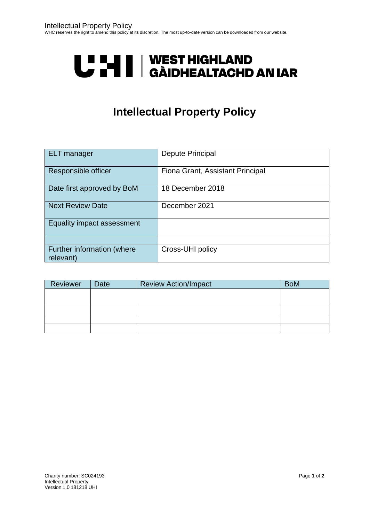# U LI | WEST HIGHLAND<br>U LI | GÀIDHEALTACHD AN IAR

### **Intellectual Property Policy**

| <b>ELT</b> manager                      | <b>Depute Principal</b>          |
|-----------------------------------------|----------------------------------|
| Responsible officer                     | Fiona Grant, Assistant Principal |
| Date first approved by BoM              | 18 December 2018                 |
| <b>Next Review Date</b>                 | December 2021                    |
| Equality impact assessment              |                                  |
|                                         |                                  |
| Further information (where<br>relevant) | Cross-UHI policy                 |

| Reviewer | <b>Date</b> | <b>Review Action/Impact</b> | <b>BoM</b> |
|----------|-------------|-----------------------------|------------|
|          |             |                             |            |
|          |             |                             |            |
|          |             |                             |            |
|          |             |                             |            |
|          |             |                             |            |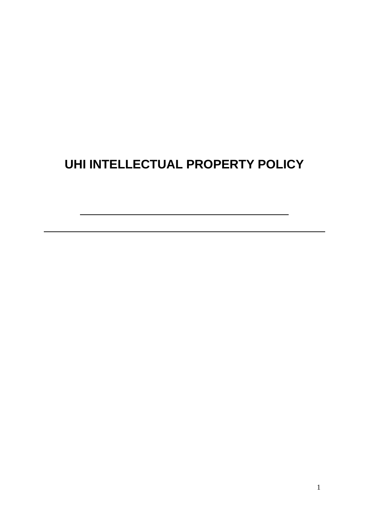## **UHI INTELLECTUAL PROPERTY POLICY**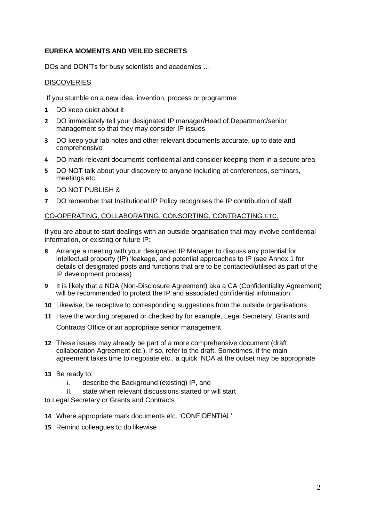#### **EUREKA MOMENTS AND VEILED SECRETS**

DOs and DON'Ts for busy scientists and academics …

#### **DISCOVERIES**

If you stumble on a new idea, invention, process or programme:

- **1** DO keep quiet about it
- **2** DO immediately tell your designated IP manager/Head of Department/senior management so that they may consider IP issues
- **3** DO keep your lab notes and other relevant documents accurate, up to date and comprehensive
- **4** DO mark relevant documents confidential and consider keeping them in a secure area
- **5** DO NOT talk about your discovery to anyone including at conferences, seminars, meetings etc.
- **6** DO NOT PUBLISH &
- **7** DO remember that Institutional IP Policy recognises the IP contribution of staff

#### CO-OPERATING, COLLABORATING, CONSORTING, CONTRACTING ETC.

If you are about to start dealings with an outside organisation that may involve confidential information, or existing or future IP:

- **8** Arrange a meeting with your designated IP Manager to discuss any potential for intellectual property (IP) 'leakage, and potential approaches to IP (see Annex 1 for details of designated posts and functions that are to be contacted/utilised as part of the IP development process)
- **9** It is likely that a NDA (Non-Disclosure Agreement) aka a CA (Confidentiality Agreement) will be recommended to protect the IP and associated confidential information
- **10** Likewise, be receptive to corresponding suggestions from the outside organisations
- **11** Have the wording prepared or checked by for example, Legal Secretary, Grants and

Contracts Office or an appropriate senior management

**12** These issues may already be part of a more comprehensive document (draft collaboration Agreement etc.). If so, refer to the draft. Sometimes, if the main agreement takes time to negotiate etc., a quick NDA at the outset may be appropriate

#### **13** Be ready to:

- i. describe the Background (existing) IP, and
- ii. state when relevant discussions started or will start

to Legal Secretary or Grants and Contracts

- **14** Where appropriate mark documents etc. 'CONFIDENTIAL'
- **15** Remind colleagues to do likewise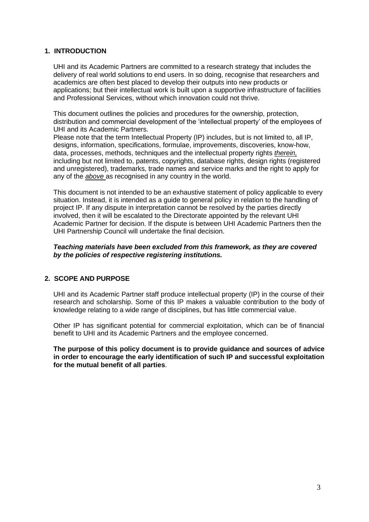#### **1. INTRODUCTION**

UHI and its Academic Partners are committed to a research strategy that includes the delivery of real world solutions to end users. In so doing, recognise that researchers and academics are often best placed to develop their outputs into new products or applications; but their intellectual work is built upon a supportive infrastructure of facilities and Professional Services, without which innovation could not thrive.

This document outlines the policies and procedures for the ownership, protection, distribution and commercial development of the 'intellectual property' of the employees of UHI and its Academic Partners.

Please note that the term Intellectual Property (IP) includes, but is not limited to, all IP, designs, information, specifications, formulae, improvements, discoveries, know-how, data, processes, methods, techniques and the intellectual property rights *therein,* including but not limited to, patents, copyrights, database rights, design rights (registered and unregistered), trademarks, trade names and service marks and the right to apply for any of the *above* as recognised in any country in the world.

This document is not intended to be an exhaustive statement of policy applicable to every situation. Instead, it is intended as a guide to general policy in relation to the handling of project IP. If any dispute in interpretation cannot be resolved by the parties directly involved, then it will be escalated to the Directorate appointed by the relevant UHI Academic Partner for decision. If the dispute is between UHI Academic Partners then the UHI Partnership Council will undertake the final decision.

#### *Teaching materials have been excluded from this framework, as they are covered by the policies of respective registering institutions.*

#### **2. SCOPE AND PURPOSE**

UHI and its Academic Partner staff produce intellectual property (IP) in the course of their research and scholarship. Some of this IP makes a valuable contribution to the body of knowledge relating to a wide range of disciplines, but has little commercial value.

Other IP has significant potential for commercial exploitation, which can be of financial benefit to UHI and its Academic Partners and the employee concerned.

**The purpose of this policy document is to provide guidance and sources of advice in order to encourage the early identification of such IP and successful exploitation for the mutual benefit of all parties**.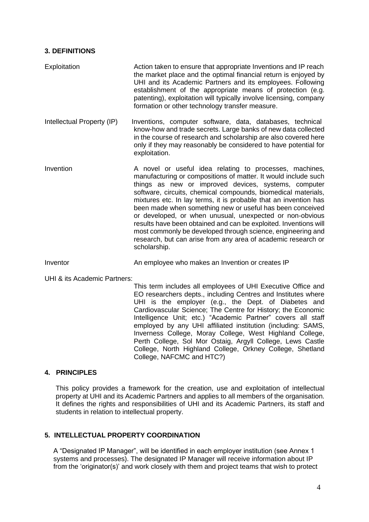#### **3. DEFINITIONS**

Exploitation Action taken to ensure that appropriate Inventions and IP reach the market place and the optimal financial return is enjoyed by UHI and its Academic Partners and its employees. Following establishment of the appropriate means of protection (e.g. patenting), exploitation will typically involve licensing, company formation or other technology transfer measure.

Intellectual Property (IP) Inventions, computer software, data, databases, technical know-how and trade secrets. Large banks of new data collected in the course of research and scholarship are also covered here only if they may reasonably be considered to have potential for exploitation.

Invention The A novel or useful idea relating to processes, machines, manufacturing or compositions of matter. It would include such things as new or improved devices, systems, computer software, circuits, chemical compounds, biomedical materials, mixtures etc. In lay terms, it is probable that an invention has been made when something new or useful has been conceived or developed, or when unusual, unexpected or non-obvious results have been obtained and can be exploited. Inventions will most commonly be developed through science, engineering and research, but can arise from any area of academic research or scholarship.

Inventor An employee who makes an Invention or creates IP

UHI & its Academic Partners:

This term includes all employees of UHI Executive Office and EO researchers depts., including Centres and Institutes where UHI is the employer (e.g., the Dept. of Diabetes and Cardiovascular Science; The Centre for History; the Economic Intelligence Unit; etc.) "Academic Partner" covers all staff employed by any UHI affiliated institution (including: SAMS, Inverness College, Moray College, West Highland College, Perth College, Sol Mor Ostaig, Argyll College, Lews Castle College, North Highland College, Orkney College, Shetland College, NAFCMC and HTC?)

#### **4. PRINCIPLES**

This policy provides a framework for the creation, use and exploitation of intellectual property at UHI and its Academic Partners and applies to all members of the organisation. It defines the rights and responsibilities of UHI and its Academic Partners, its staff and students in relation to intellectual property.

#### **5. INTELLECTUAL PROPERTY COORDINATION**

A "Designated IP Manager", will be identified in each employer institution (see Annex 1 systems and processes). The designated IP Manager will receive information about IP from the 'originator(s)' and work closely with them and project teams that wish to protect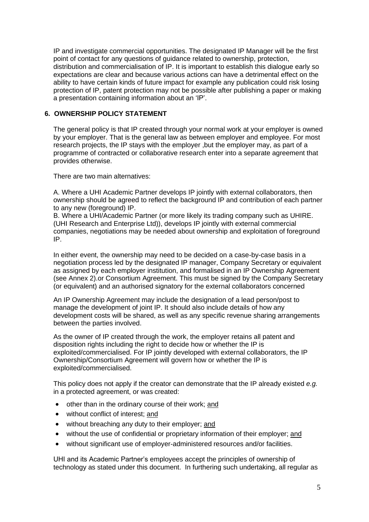IP and investigate commercial opportunities. The designated IP Manager will be the first point of contact for any questions of guidance related to ownership, protection, distribution and commercialisation of IP. It is important to establish this dialogue early so expectations are clear and because various actions can have a detrimental effect on the ability to have certain kinds of future impact for example any publication could risk losing protection of IP, patent protection may not be possible after publishing a paper or making a presentation containing information about an 'IP'.

#### **6. OWNERSHIP POLICY STATEMENT**

The general policy is that IP created through your normal work at your employer is owned by your employer. That is the general law as between employer and employee. For most research projects, the IP stays with the employer ,but the employer may, as part of a programme of contracted or collaborative research enter into a separate agreement that provides otherwise.

There are two main alternatives:

A. Where a UHI Academic Partner develops IP jointly with external collaborators, then ownership should be agreed to reflect the background IP and contribution of each partner to any new (foreground) IP.

B. Where a UHI/Academic Partner (or more likely its trading company such as UHIRE. (UHI Research and Enterprise Ltd)), develops IP jointly with external commercial companies, negotiations may be needed about ownership and exploitation of foreground IP.

In either event, the ownership may need to be decided on a case-by-case basis in a negotiation process led by the designated IP manager, Company Secretary or equivalent as assigned by each employer institution, and formalised in an IP Ownership Agreement (see Annex 2).or Consortium Agreement. This must be signed by the Company Secretary (or equivalent) and an authorised signatory for the external collaborators concerned

An IP Ownership Agreement may include the designation of a lead person/post to manage the development of joint IP. It should also include details of how any development costs will be shared, as well as any specific revenue sharing arrangements between the parties involved.

As the owner of IP created through the work, the employer retains all patent and disposition rights including the right to decide how or whether the IP is exploited/commercialised. For IP jointly developed with external collaborators, the IP Ownership/Consortium Agreement will govern how or whether the IP is exploited/commercialised.

This policy does not apply if the creator can demonstrate that the IP already existed *e.g.* in a protected agreement, or was created:

- other than in the ordinary course of their work; and
- without conflict of interest; and
- without breaching any duty to their employer; and
- without the use of confidential or proprietary information of their employer; and
- without significant use of employer-administered resources and/or facilities.

UHI and its Academic Partner's employees accept the principles of ownership of technology as stated under this document. In furthering such undertaking, all regular as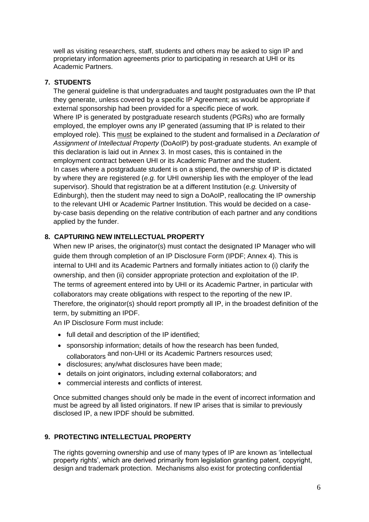well as visiting researchers, staff, students and others may be asked to sign IP and proprietary information agreements prior to participating in research at UHI or its Academic Partners.

#### **7. STUDENTS**

The general guideline is that undergraduates and taught postgraduates own the IP that they generate, unless covered by a specific IP Agreement; as would be appropriate if external sponsorship had been provided for a specific piece of work. Where IP is generated by postgraduate research students (PGRs) who are formally employed, the employer owns any IP generated (assuming that IP is related to their employed role). This must be explained to the student and formalised in a *Declaration of Assignment of Intellectual Property* (DoAoIP) by post-graduate students. An example of this declaration is laid out in Annex 3. In most cases, this is contained in the employment contract between UHI or its Academic Partner and the student. In cases where a postgraduate student is on a stipend, the ownership of IP is dictated by where they are registered (*e.g.* for UHI ownership lies with the employer of the lead supervisor). Should that registration be at a different Institution (*e.g.* University of Edinburgh), then the student may need to sign a DoAoIP, reallocating the IP ownership to the relevant UHI or Academic Partner Institution. This would be decided on a caseby-case basis depending on the relative contribution of each partner and any conditions applied by the funder.

#### **8. CAPTURING NEW INTELLECTUAL PROPERTY**

When new IP arises, the originator(s) must contact the designated IP Manager who will guide them through completion of an IP Disclosure Form (IPDF; Annex 4). This is internal to UHI and its Academic Partners and formally initiates action to (i) clarify the ownership, and then (ii) consider appropriate protection and exploitation of the IP. The terms of agreement entered into by UHI or its Academic Partner, in particular with collaborators may create obligations with respect to the reporting of the new IP. Therefore, the originator(s) should report promptly all IP, in the broadest definition of the term, by submitting an IPDF.

An IP Disclosure Form must include:

- full detail and description of the IP identified;
- sponsorship information; details of how the research has been funded, collaborators and non-UHI or its Academic Partners resources used;
- disclosures; any/what disclosures have been made;
- details on joint originators, including external collaborators; and
- commercial interests and conflicts of interest.

Once submitted changes should only be made in the event of incorrect information and must be agreed by all listed originators. If new IP arises that is similar to previously disclosed IP, a new IPDF should be submitted.

#### **9. PROTECTING INTELLECTUAL PROPERTY**

The rights governing ownership and use of many types of IP are known as 'intellectual property rights', which are derived primarily from legislation granting patent, copyright, design and trademark protection. Mechanisms also exist for protecting confidential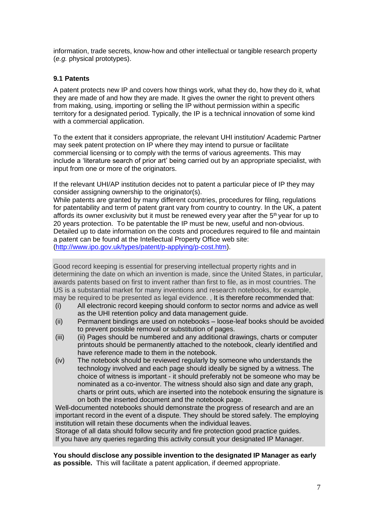information, trade secrets, know-how and other intellectual or tangible research property (*e.g.* physical prototypes).

#### **9.1 Patents**

A patent protects new IP and covers how things work, what they do, how they do it, what they are made of and how they are made. It gives the owner the right to prevent others from making, using, importing or selling the IP without permission within a specific territory for a designated period. Typically, the IP is a technical innovation of some kind with a commercial application.

To the extent that it considers appropriate, the relevant UHI institution/ Academic Partner may seek patent protection on IP where they may intend to pursue or facilitate commercial licensing or to comply with the terms of various agreements. This may include a 'literature search of prior art' being carried out by an appropriate specialist, with input from one or more of the originators.

If the relevant UHI/AP institution decides not to patent a particular piece of IP they may consider assigning ownership to the originator(s).

While patents are granted by many different countries, procedures for filing, regulations for patentability and term of patent grant vary from country to country. In the UK, a patent affords its owner exclusivity but it must be renewed every year after the  $5<sup>th</sup>$  year for up to 20 years protection. To be patentable the IP must be new, useful and non-obvious. Detailed up to date information on the costs and procedures required to file and maintain a patent can be found at the Intellectual Property Office web site: [\(http://www.ipo.gov.uk/types/patent/p-applying/p-cost.htm\)](http://www.ipo.gov.uk/types/patent/p-applying/p-cost.htm).

Good record keeping is essential for preserving intellectual property rights and in determining the date on which an invention is made, since the United States, in particular, awards patents based on first to invent rather than first to file, as in most countries. The US is a substantial market for many inventions and research notebooks, for example, may be required to be presented as legal evidence. , It is therefore recommended that:

- (i) All electronic record keeping should conform to sector norms and advice as well as the UHI retention policy and data management guide.
- (ii) Permanent bindings are used on notebooks loose-leaf books should be avoided to prevent possible removal or substitution of pages.
- (iii) (ii) Pages should be numbered and any additional drawings, charts or computer printouts should be permanently attached to the notebook, clearly identified and have reference made to them in the notebook.
- (iv) The notebook should be reviewed regularly by someone who understands the technology involved and each page should ideally be signed by a witness. The choice of witness is important - it should preferably not be someone who may be nominated as a co-inventor. The witness should also sign and date any graph, charts or print outs, which are inserted into the notebook ensuring the signature is on both the inserted document and the notebook page.

Well-documented notebooks should demonstrate the progress of research and are an important record in the event of a dispute. They should be stored safely. The employing institution will retain these documents when the individual leaves.

Storage of all data should follow security and fire protection good practice guides. If you have any queries regarding this activity consult your designated IP Manager.

**You should disclose any possible invention to the designated IP Manager as early as possible.** This will facilitate a patent application, if deemed appropriate.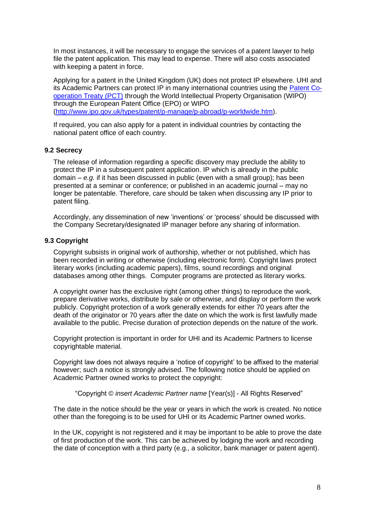In most instances, it will be necessary to engage the services of a patent lawyer to help file the patent application. This may lead to expense. There will also costs associated with keeping a patent in force.

Applying for a patent in the United Kingdom (UK) does not protect IP elsewhere. UHI and its Academic Partners can protect IP in many international countries using the [Patent Co](http://www.ipo.gov.uk/types/patent/p-manage/p-abroad/p-worldwide/p-pct.htm)[operation Treaty \(PCT\)](http://www.ipo.gov.uk/types/patent/p-manage/p-abroad/p-worldwide/p-pct.htm) through the World Intellectual Property Organisation (WIPO) through the European Patent Office (EPO) or WIPO [\(http://www.ipo.gov.uk/types/patent/p-manage/p-abroad/p-worldwide.htm\)](http://www.ipo.gov.uk/types/patent/p-manage/p-abroad/p-worldwide.htm).

If required, you can also apply for a patent in individual countries by contacting the national patent office of each country.

#### **9.2 Secrecy**

The release of information regarding a specific discovery may preclude the ability to protect the IP in a subsequent patent application. IP which is already in the public domain – *e.g.* if it has been discussed in public (even with a small group); has been presented at a seminar or conference; or published in an academic journal – may no longer be patentable. Therefore, care should be taken when discussing any IP prior to patent filing.

Accordingly, any dissemination of new 'inventions' or 'process' should be discussed with the Company Secretary/designated IP manager before any sharing of information.

#### **9.3 Copyright**

Copyright subsists in original work of authorship, whether or not published, which has been recorded in writing or otherwise (including electronic form). Copyright laws protect literary works (including academic papers), films, sound recordings and original databases among other things. Computer programs are protected as literary works.

A copyright owner has the exclusive right (among other things) to reproduce the work, prepare derivative works, distribute by sale or otherwise, and display or perform the work publicly. Copyright protection of a work generally extends for either 70 years after the death of the originator or 70 years after the date on which the work is first lawfully made available to the public. Precise duration of protection depends on the nature of the work.

Copyright protection is important in order for UHI and its Academic Partners to license copyrightable material.

Copyright law does not always require a 'notice of copyright' to be affixed to the material however; such a notice is strongly advised. The following notice should be applied on Academic Partner owned works to protect the copyright:

"Copyright © *insert Academic Partner name* [Year(s)] - All Rights Reserved"

The date in the notice should be the year or years in which the work is created. No notice other than the foregoing is to be used for UHI or its Academic Partner owned works.

In the UK, copyright is not registered and it may be important to be able to prove the date of first production of the work. This can be achieved by lodging the work and recording the date of conception with a third party (e.g., a solicitor, bank manager or patent agent).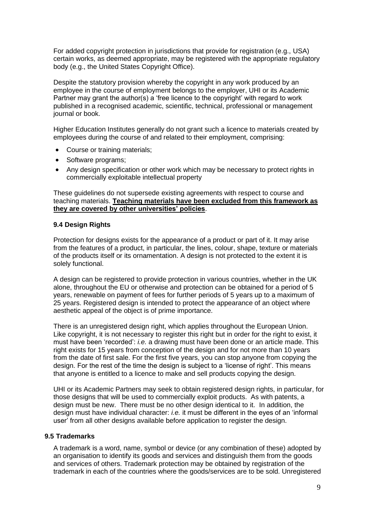For added copyright protection in jurisdictions that provide for registration (e.g., USA) certain works, as deemed appropriate, may be registered with the appropriate regulatory body (e.g., the United States Copyright Office).

Despite the statutory provision whereby the copyright in any work produced by an employee in the course of employment belongs to the employer, UHI or its Academic Partner may grant the author(s) a 'free licence to the copyright' with regard to work published in a recognised academic, scientific, technical, professional or management journal or book.

Higher Education Institutes generally do not grant such a licence to materials created by employees during the course of and related to their employment, comprising:

- Course or training materials;
- Software programs;
- Any design specification or other work which may be necessary to protect rights in commercially exploitable intellectual property

These guidelines do not supersede existing agreements with respect to course and teaching materials. **Teaching materials have been excluded from this framework as they are covered by other universities' policies**.

#### **9.4 Design Rights**

Protection for designs exists for the appearance of a product or part of it. It may arise from the features of a product, in particular, the lines, colour, shape, texture or materials of the products itself or its ornamentation. A design is not protected to the extent it is solely functional.

A design can be registered to provide protection in various countries, whether in the UK alone, throughout the EU or otherwise and protection can be obtained for a period of 5 years, renewable on payment of fees for further periods of 5 years up to a maximum of 25 years. Registered design is intended to protect the appearance of an object where aesthetic appeal of the object is of prime importance.

There is an unregistered design right, which applies throughout the European Union. Like copyright, it is not necessary to register this right but in order for the right to exist, it must have been 'recorded': *i.e.* a drawing must have been done or an article made. This right exists for 15 years from conception of the design and for not more than 10 years from the date of first sale. For the first five years, you can stop anyone from copying the design. For the rest of the time the design is subject to a 'license of right'. This means that anyone is entitled to a licence to make and sell products copying the design.

UHI or its Academic Partners may seek to obtain registered design rights, in particular, for those designs that will be used to commercially exploit products. As with patents, a design must be new. There must be no other design identical to it. In addition, the design must have individual character: *i.e.* it must be different in the eyes of an 'informal user' from all other designs available before application to register the design.

#### **9.5 Trademarks**

A trademark is a word, name, symbol or device (or any combination of these) adopted by an organisation to identify its goods and services and distinguish them from the goods and services of others. Trademark protection may be obtained by registration of the trademark in each of the countries where the goods/services are to be sold. Unregistered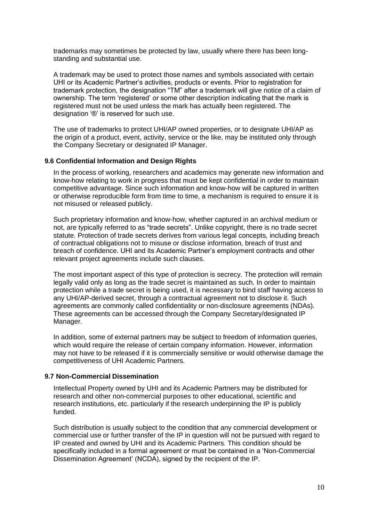trademarks may sometimes be protected by law, usually where there has been longstanding and substantial use.

A trademark may be used to protect those names and symbols associated with certain UHI or its Academic Partner's activities, products or events. Prior to registration for trademark protection, the designation "TM" after a trademark will give notice of a claim of ownership. The term 'registered' or some other description indicating that the mark is registered must not be used unless the mark has actually been registered. The designation '®' is reserved for such use.

The use of trademarks to protect UHI/AP owned properties, or to designate UHI/AP as the origin of a product, event, activity, service or the like, may be instituted only through the Company Secretary or designated IP Manager.

#### **9.6 Confidential Information and Design Rights**

In the process of working, researchers and academics may generate new information and know-how relating to work in progress that must be kept confidential in order to maintain competitive advantage. Since such information and know-how will be captured in written or otherwise reproducible form from time to time, a mechanism is required to ensure it is not misused or released publicly.

Such proprietary information and know-how, whether captured in an archival medium or not, are typically referred to as "trade secrets". Unlike copyright, there is no trade secret statute. Protection of trade secrets derives from various legal concepts, including breach of contractual obligations not to misuse or disclose information, breach of trust and breach of confidence. UHI and its Academic Partner's employment contracts and other relevant project agreements include such clauses.

The most important aspect of this type of protection is secrecy. The protection will remain legally valid only as long as the trade secret is maintained as such. In order to maintain protection while a trade secret is being used, it is necessary to bind staff having access to any UHI/AP-derived secret, through a contractual agreement not to disclose it. Such agreements are commonly called confidentiality or non-disclosure agreements (NDAs). These agreements can be accessed through the Company Secretary/designated IP Manager.

In addition, some of external partners may be subject to freedom of information queries, which would require the release of certain company information. However, information may not have to be released if it is commercially sensitive or would otherwise damage the competitiveness of UHI Academic Partners.

#### **9.7 Non-Commercial Dissemination**

Intellectual Property owned by UHI and its Academic Partners may be distributed for research and other non-commercial purposes to other educational, scientific and research institutions, etc. particularly if the research underpinning the IP is publicly funded.

Such distribution is usually subject to the condition that any commercial development or commercial use or further transfer of the IP in question will not be pursued with regard to IP created and owned by UHI and its Academic Partners. This condition should be specifically included in a formal agreement or must be contained in a 'Non-Commercial Dissemination Agreement' (NCDA), signed by the recipient of the IP.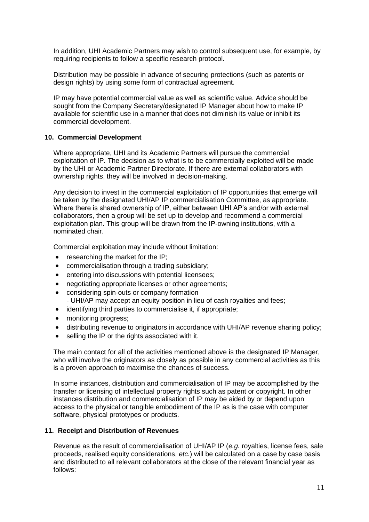In addition, UHI Academic Partners may wish to control subsequent use, for example, by requiring recipients to follow a specific research protocol.

Distribution may be possible in advance of securing protections (such as patents or design rights) by using some form of contractual agreement.

IP may have potential commercial value as well as scientific value. Advice should be sought from the Company Secretary/designated IP Manager about how to make IP available for scientific use in a manner that does not diminish its value or inhibit its commercial development.

#### **10. Commercial Development**

Where appropriate, UHI and its Academic Partners will pursue the commercial exploitation of IP. The decision as to what is to be commercially exploited will be made by the UHI or Academic Partner Directorate. If there are external collaborators with ownership rights, they will be involved in decision-making.

Any decision to invest in the commercial exploitation of IP opportunities that emerge will be taken by the designated UHI/AP IP commercialisation Committee, as appropriate. Where there is shared ownership of IP, either between UHI AP's and/or with external collaborators, then a group will be set up to develop and recommend a commercial exploitation plan. This group will be drawn from the IP-owning institutions, with a nominated chair.

Commercial exploitation may include without limitation:

- researching the market for the IP;
- commercialisation through a trading subsidiary;
- entering into discussions with potential licensees;
- negotiating appropriate licenses or other agreements;
- considering spin-outs or company formation
- UHI/AP may accept an equity position in lieu of cash royalties and fees;
- identifying third parties to commercialise it, if appropriate;
- monitoring progress;
- distributing revenue to originators in accordance with UHI/AP revenue sharing policy;
- selling the IP or the rights associated with it.

The main contact for all of the activities mentioned above is the designated IP Manager, who will involve the originators as closely as possible in any commercial activities as this is a proven approach to maximise the chances of success.

In some instances, distribution and commercialisation of IP may be accomplished by the transfer or licensing of intellectual property rights such as patent or copyright. In other instances distribution and commercialisation of IP may be aided by or depend upon access to the physical or tangible embodiment of the IP as is the case with computer software, physical prototypes or products.

#### **11. Receipt and Distribution of Revenues**

Revenue as the result of commercialisation of UHI/AP IP (*e.g.* royalties, license fees, sale proceeds, realised equity considerations, *etc.*) will be calculated on a case by case basis and distributed to all relevant collaborators at the close of the relevant financial year as follows: